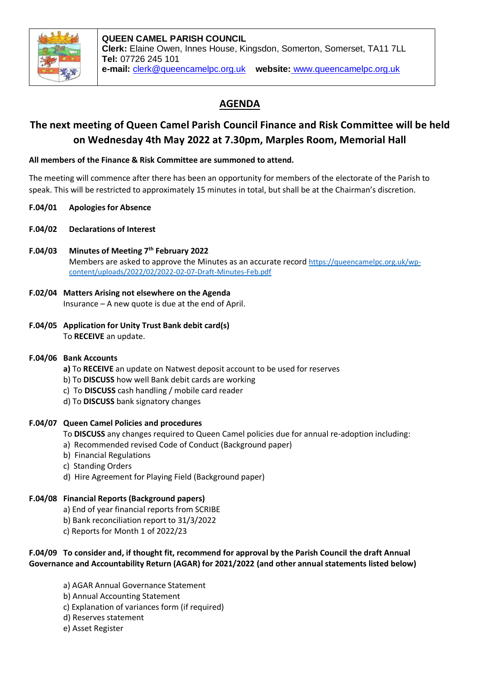

# **AGENDA**

# **The next meeting of Queen Camel Parish Council Finance and Risk Committee will be held on Wednesday 4th May 2022 at 7.30pm, Marples Room, Memorial Hall**

### **All members of the Finance & Risk Committee are summoned to attend.**

The meeting will commence after there has been an opportunity for members of the electorate of the Parish to speak. This will be restricted to approximately 15 minutes in total, but shall be at the Chairman's discretion.

- **F.04/01 Apologies for Absence**
- **F.04/02 Declarations of Interest**
- **F.04/03 Minutes of Meeting 7th February 2022** Members are asked to approve the Minutes as an accurate record [https://queencamelpc.org.uk/wp](https://queencamelpc.org.uk/wp-content/uploads/2022/02/2022-02-07-Draft-Minutes-Feb.pdf)[content/uploads/2022/02/2022-02-07-Draft-Minutes-Feb.pdf](https://queencamelpc.org.uk/wp-content/uploads/2022/02/2022-02-07-Draft-Minutes-Feb.pdf)
- **F.02/04 Matters Arising not elsewhere on the Agenda** Insurance – A new quote is due at the end of April.
- **F.04/05 Application for Unity Trust Bank debit card(s)** To **RECEIVE** an update.

#### **F.04/06 Bank Accounts**

- **a)** To **RECEIVE** an update on Natwest deposit account to be used for reserves
- b) To **DISCUSS** how well Bank debit cards are working
- c) To **DISCUSS** cash handling / mobile card reader
- d) To **DISCUSS** bank signatory changes

#### **F.04/07 Queen Camel Policies and procedures**

- To **DISCUSS** any changes required to Queen Camel policies due for annual re-adoption including:
- a) Recommended revised Code of Conduct (Background paper)
- b) Financial Regulations
- c) Standing Orders
- d) Hire Agreement for Playing Field (Background paper)

# **F.04/08 Financial Reports (Background papers)**

- a) End of year financial reports from SCRIBE
- b) Bank reconciliation report to 31/3/2022
- c) Reports for Month 1 of 2022/23

## **F.04/09 To consider and, if thought fit, recommend for approval by the Parish Council the draft Annual Governance and Accountability Return (AGAR) for 2021/2022 (and other annual statements listed below)**

- a) AGAR Annual Governance Statement
- b) Annual Accounting Statement
- c) Explanation of variances form (if required)
- d) Reserves statement
- e) Asset Register